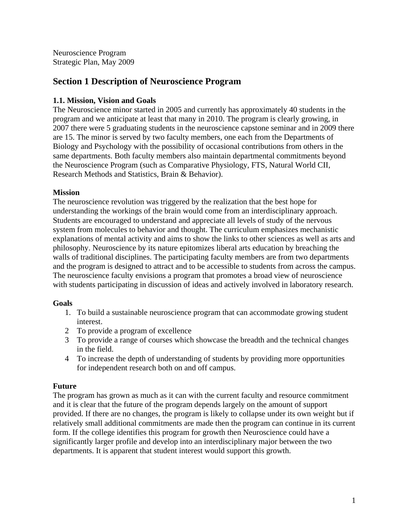Neuroscience Program Strategic Plan, May 2009

# **Section 1 Description of Neuroscience Program**

### **1.1. Mission, Vision and Goals**

The Neuroscience minor started in 2005 and currently has approximately 40 students in the program and we anticipate at least that many in 2010. The program is clearly growing, in 2007 there were 5 graduating students in the neuroscience capstone seminar and in 2009 there are 15. The minor is served by two faculty members, one each from the Departments of Biology and Psychology with the possibility of occasional contributions from others in the same departments. Both faculty members also maintain departmental commitments beyond the Neuroscience Program (such as Comparative Physiology, FTS, Natural World CII, Research Methods and Statistics, Brain & Behavior).

#### **Mission**

The neuroscience revolution was triggered by the realization that the best hope for understanding the workings of the brain would come from an interdisciplinary approach. Students are encouraged to understand and appreciate all levels of study of the nervous system from molecules to behavior and thought. The curriculum emphasizes mechanistic explanations of mental activity and aims to show the links to other sciences as well as arts and philosophy. Neuroscience by its nature epitomizes liberal arts education by breaching the walls of traditional disciplines. The participating faculty members are from two departments and the program is designed to attract and to be accessible to students from across the campus. The neuroscience faculty envisions a program that promotes a broad view of neuroscience with students participating in discussion of ideas and actively involved in laboratory research.

#### **Goals**

- 1. To build a sustainable neuroscience program that can accommodate growing student interest.
- 2 To provide a program of excellence
- 3 To provide a range of courses which showcase the breadth and the technical changes in the field.
- 4 To increase the depth of understanding of students by providing more opportunities for independent research both on and off campus.

#### **Future**

The program has grown as much as it can with the current faculty and resource commitment and it is clear that the future of the program depends largely on the amount of support provided. If there are no changes, the program is likely to collapse under its own weight but if relatively small additional commitments are made then the program can continue in its current form. If the college identifies this program for growth then Neuroscience could have a significantly larger profile and develop into an interdisciplinary major between the two departments. It is apparent that student interest would support this growth.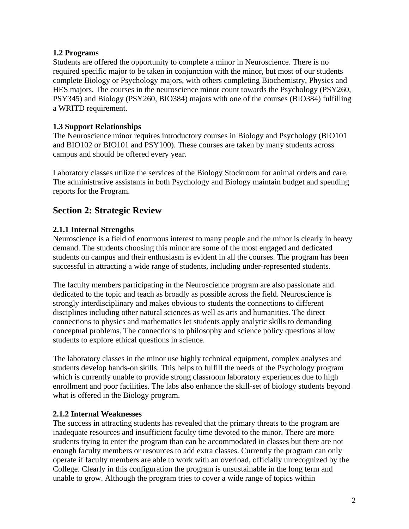### **1.2 Programs**

Students are offered the opportunity to complete a minor in Neuroscience. There is no required specific major to be taken in conjunction with the minor, but most of our students complete Biology or Psychology majors, with others completing Biochemistry, Physics and HES majors. The courses in the neuroscience minor count towards the Psychology (PSY260, PSY345) and Biology (PSY260, BIO384) majors with one of the courses (BIO384) fulfilling a WRITD requirement.

### **1.3 Support Relationships**

The Neuroscience minor requires introductory courses in Biology and Psychology (BIO101 and BIO102 or BIO101 and PSY100). These courses are taken by many students across campus and should be offered every year.

Laboratory classes utilize the services of the Biology Stockroom for animal orders and care. The administrative assistants in both Psychology and Biology maintain budget and spending reports for the Program.

# **Section 2: Strategic Review**

## **2.1.1 Internal Strengths**

Neuroscience is a field of enormous interest to many people and the minor is clearly in heavy demand. The students choosing this minor are some of the most engaged and dedicated students on campus and their enthusiasm is evident in all the courses. The program has been successful in attracting a wide range of students, including under-represented students.

The faculty members participating in the Neuroscience program are also passionate and dedicated to the topic and teach as broadly as possible across the field. Neuroscience is strongly interdisciplinary and makes obvious to students the connections to different disciplines including other natural sciences as well as arts and humanities. The direct connections to physics and mathematics let students apply analytic skills to demanding conceptual problems. The connections to philosophy and science policy questions allow students to explore ethical questions in science.

The laboratory classes in the minor use highly technical equipment, complex analyses and students develop hands-on skills. This helps to fulfill the needs of the Psychology program which is currently unable to provide strong classroom laboratory experiences due to high enrollment and poor facilities. The labs also enhance the skill-set of biology students beyond what is offered in the Biology program.

#### **2.1.2 Internal Weaknesses**

The success in attracting students has revealed that the primary threats to the program are inadequate resources and insufficient faculty time devoted to the minor. There are more students trying to enter the program than can be accommodated in classes but there are not enough faculty members or resources to add extra classes. Currently the program can only operate if faculty members are able to work with an overload, officially unrecognized by the College. Clearly in this configuration the program is unsustainable in the long term and unable to grow. Although the program tries to cover a wide range of topics within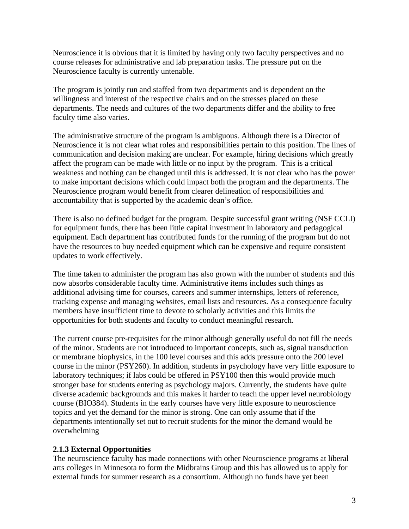Neuroscience it is obvious that it is limited by having only two faculty perspectives and no course releases for administrative and lab preparation tasks. The pressure put on the Neuroscience faculty is currently untenable.

The program is jointly run and staffed from two departments and is dependent on the willingness and interest of the respective chairs and on the stresses placed on these departments. The needs and cultures of the two departments differ and the ability to free faculty time also varies.

The administrative structure of the program is ambiguous. Although there is a Director of Neuroscience it is not clear what roles and responsibilities pertain to this position. The lines of communication and decision making are unclear. For example, hiring decisions which greatly affect the program can be made with little or no input by the program. This is a critical weakness and nothing can be changed until this is addressed. It is not clear who has the power to make important decisions which could impact both the program and the departments. The Neuroscience program would benefit from clearer delineation of responsibilities and accountability that is supported by the academic dean's office.

There is also no defined budget for the program. Despite successful grant writing (NSF CCLI) for equipment funds, there has been little capital investment in laboratory and pedagogical equipment. Each department has contributed funds for the running of the program but do not have the resources to buy needed equipment which can be expensive and require consistent updates to work effectively.

The time taken to administer the program has also grown with the number of students and this now absorbs considerable faculty time. Administrative items includes such things as additional advising time for courses, careers and summer internships, letters of reference, tracking expense and managing websites, email lists and resources. As a consequence faculty members have insufficient time to devote to scholarly activities and this limits the opportunities for both students and faculty to conduct meaningful research.

The current course pre-requisites for the minor although generally useful do not fill the needs of the minor. Students are not introduced to important concepts, such as, signal transduction or membrane biophysics, in the 100 level courses and this adds pressure onto the 200 level course in the minor (PSY260). In addition, students in psychology have very little exposure to laboratory techniques; if labs could be offered in PSY100 then this would provide much stronger base for students entering as psychology majors. Currently, the students have quite diverse academic backgrounds and this makes it harder to teach the upper level neurobiology course (BIO384). Students in the early courses have very little exposure to neuroscience topics and yet the demand for the minor is strong. One can only assume that if the departments intentionally set out to recruit students for the minor the demand would be overwhelming

## **2.1.3 External Opportunities**

The neuroscience faculty has made connections with other Neuroscience programs at liberal arts colleges in Minnesota to form the Midbrains Group and this has allowed us to apply for external funds for summer research as a consortium. Although no funds have yet been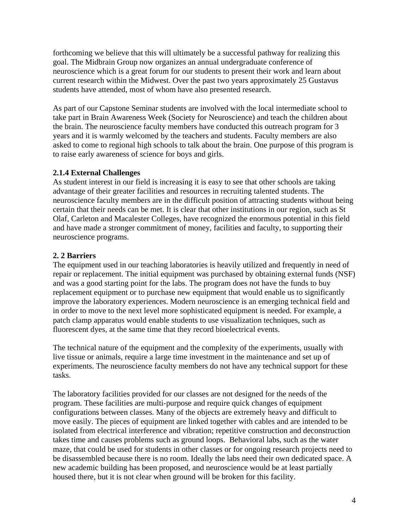forthcoming we believe that this will ultimately be a successful pathway for realizing this goal. The Midbrain Group now organizes an annual undergraduate conference of neuroscience which is a great forum for our students to present their work and learn about current research within the Midwest. Over the past two years approximately 25 Gustavus students have attended, most of whom have also presented research.

As part of our Capstone Seminar students are involved with the local intermediate school to take part in Brain Awareness Week (Society for Neuroscience) and teach the children about the brain. The neuroscience faculty members have conducted this outreach program for 3 years and it is warmly welcomed by the teachers and students. Faculty members are also asked to come to regional high schools to talk about the brain. One purpose of this program is to raise early awareness of science for boys and girls.

## **2.1.4 External Challenges**

As student interest in our field is increasing it is easy to see that other schools are taking advantage of their greater facilities and resources in recruiting talented students. The neuroscience faculty members are in the difficult position of attracting students without being certain that their needs can be met. It is clear that other institutions in our region, such as St Olaf, Carleton and Macalester Colleges, have recognized the enormous potential in this field and have made a stronger commitment of money, facilities and faculty, to supporting their neuroscience programs.

## **2. 2 Barriers**

The equipment used in our teaching laboratories is heavily utilized and frequently in need of repair or replacement. The initial equipment was purchased by obtaining external funds (NSF) and was a good starting point for the labs. The program does not have the funds to buy replacement equipment or to purchase new equipment that would enable us to significantly improve the laboratory experiences. Modern neuroscience is an emerging technical field and in order to move to the next level more sophisticated equipment is needed. For example, a patch clamp apparatus would enable students to use visualization techniques, such as fluorescent dyes, at the same time that they record bioelectrical events.

The technical nature of the equipment and the complexity of the experiments, usually with live tissue or animals, require a large time investment in the maintenance and set up of experiments. The neuroscience faculty members do not have any technical support for these tasks.

The laboratory facilities provided for our classes are not designed for the needs of the program. These facilities are multi-purpose and require quick changes of equipment configurations between classes. Many of the objects are extremely heavy and difficult to move easily. The pieces of equipment are linked together with cables and are intended to be isolated from electrical interference and vibration; repetitive construction and deconstruction takes time and causes problems such as ground loops. Behavioral labs, such as the water maze, that could be used for students in other classes or for ongoing research projects need to be disassembled because there is no room. Ideally the labs need their own dedicated space. A new academic building has been proposed, and neuroscience would be at least partially housed there, but it is not clear when ground will be broken for this facility.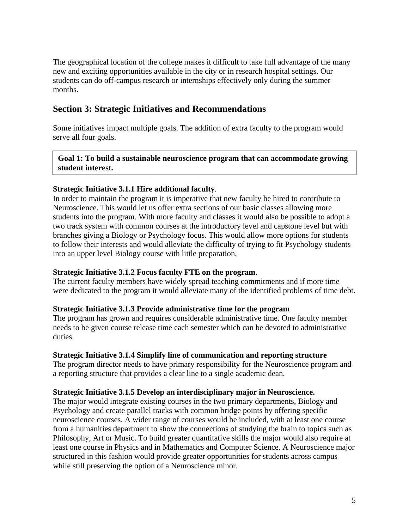The geographical location of the college makes it difficult to take full advantage of the many new and exciting opportunities available in the city or in research hospital settings. Our students can do off-campus research or internships effectively only during the summer months.

# **Section 3: Strategic Initiatives and Recommendations**

Some initiatives impact multiple goals. The addition of extra faculty to the program would serve all four goals.

**Goal 1: To build a sustainable neuroscience program that can accommodate growing student interest.** 

#### **Strategic Initiative 3.1.1 Hire additional faculty**.

In order to maintain the program it is imperative that new faculty be hired to contribute to Neuroscience. This would let us offer extra sections of our basic classes allowing more students into the program. With more faculty and classes it would also be possible to adopt a two track system with common courses at the introductory level and capstone level but with branches giving a Biology or Psychology focus. This would allow more options for students to follow their interests and would alleviate the difficulty of trying to fit Psychology students into an upper level Biology course with little preparation.

#### **Strategic Initiative 3.1.2 Focus faculty FTE on the program**.

The current faculty members have widely spread teaching commitments and if more time were dedicated to the program it would alleviate many of the identified problems of time debt.

#### **Strategic Initiative 3.1.3 Provide administrative time for the program**

The program has grown and requires considerable administrative time. One faculty member needs to be given course release time each semester which can be devoted to administrative duties.

#### **Strategic Initiative 3.1.4 Simplify line of communication and reporting structure**

The program director needs to have primary responsibility for the Neuroscience program and a reporting structure that provides a clear line to a single academic dean.

## **Strategic Initiative 3.1.5 Develop an interdisciplinary major in Neuroscience.**

The major would integrate existing courses in the two primary departments, Biology and Psychology and create parallel tracks with common bridge points by offering specific neuroscience courses. A wider range of courses would be included, with at least one course from a humanities department to show the connections of studying the brain to topics such as Philosophy, Art or Music. To build greater quantitative skills the major would also require at least one course in Physics and in Mathematics and Computer Science. A Neuroscience major structured in this fashion would provide greater opportunities for students across campus while still preserving the option of a Neuroscience minor.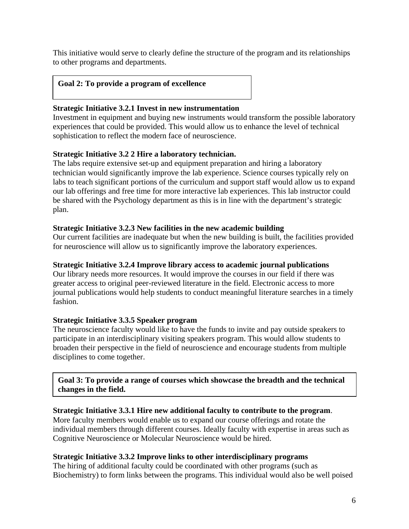This initiative would serve to clearly define the structure of the program and its relationships to other programs and departments.

#### **Goal 2: To provide a program of excellence**

#### **Strategic Initiative 3.2.1 Invest in new instrumentation**

Investment in equipment and buying new instruments would transform the possible laboratory experiences that could be provided. This would allow us to enhance the level of technical sophistication to reflect the modern face of neuroscience.

## **Strategic Initiative 3.2 2 Hire a laboratory technician.**

The labs require extensive set-up and equipment preparation and hiring a laboratory technician would significantly improve the lab experience. Science courses typically rely on labs to teach significant portions of the curriculum and support staff would allow us to expand our lab offerings and free time for more interactive lab experiences. This lab instructor could be shared with the Psychology department as this is in line with the department's strategic plan.

#### **Strategic Initiative 3.2.3 New facilities in the new academic building**

Our current facilities are inadequate but when the new building is built, the facilities provided for neuroscience will allow us to significantly improve the laboratory experiences.

#### **Strategic Initiative 3.2.4 Improve library access to academic journal publications**

Our library needs more resources. It would improve the courses in our field if there was greater access to original peer-reviewed literature in the field. Electronic access to more journal publications would help students to conduct meaningful literature searches in a timely fashion.

#### **Strategic Initiative 3.3.5 Speaker program**

The neuroscience faculty would like to have the funds to invite and pay outside speakers to participate in an interdisciplinary visiting speakers program. This would allow students to broaden their perspective in the field of neuroscience and encourage students from multiple disciplines to come together.

**Goal 3: To provide a range of courses which showcase the breadth and the technical changes in the field.** 

## **Strategic Initiative 3.3.1 Hire new additional faculty to contribute to the program**.

More faculty members would enable us to expand our course offerings and rotate the individual members through different courses. Ideally faculty with expertise in areas such as Cognitive Neuroscience or Molecular Neuroscience would be hired.

#### **Strategic Initiative 3.3.2 Improve links to other interdisciplinary programs**

The hiring of additional faculty could be coordinated with other programs (such as Biochemistry) to form links between the programs. This individual would also be well poised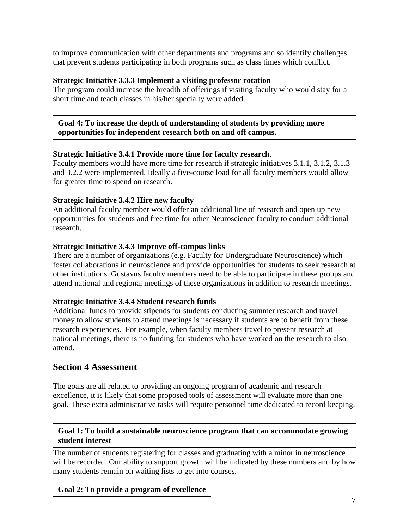to improve communication with other departments and programs and so identify challenges that prevent students participating in both programs such as class times which conflict.

## **Strategic Initiative 3.3.3 Implement a visiting professor rotation**

The program could increase the breadth of offerings if visiting faculty who would stay for a short time and teach classes in his/her specialty were added.

## **Goal 4: To increase the depth of understanding of students by providing more opportunities for independent research both on and off campus.**

## **Strategic Initiative 3.4.1 Provide more time for faculty research**.

Faculty members would have more time for research if strategic initiatives 3.1.1, 3.1.2, 3.1.3 and 3.2.2 were implemented. Ideally a five-course load for all faculty members would allow for greater time to spend on research.

## **Strategic Initiative 3.4.2 Hire new faculty**

An additional faculty member would offer an additional line of research and open up new opportunities for students and free time for other Neuroscience faculty to conduct additional research.

## **Strategic Initiative 3.4.3 Improve off-campus links**

There are a number of organizations (e.g. Faculty for Undergraduate Neuroscience) which foster collaborations in neuroscience and provide opportunities for students to seek research at other institutions. Gustavus faculty members need to be able to participate in these groups and attend national and regional meetings of these organizations in addition to research meetings.

## **Strategic Initiative 3.4.4 Student research funds**

Additional funds to provide stipends for students conducting summer research and travel money to allow students to attend meetings is necessary if students are to benefit from these research experiences. For example, when faculty members travel to present research at national meetings, there is no funding for students who have worked on the research to also attend.

# **Section 4 Assessment**

The goals are all related to providing an ongoing program of academic and research excellence, it is likely that some proposed tools of assessment will evaluate more than one goal. These extra administrative tasks will require personnel time dedicated to record keeping.

## **Goal 1: To build a sustainable neuroscience program that can accommodate growing student interest**

The number of students registering for classes and graduating with a minor in neuroscience will be recorded. Our ability to support growth will be indicated by these numbers and by how many students remain on waiting lists to get into courses.

**Goal 2: To provide a program of excellence**